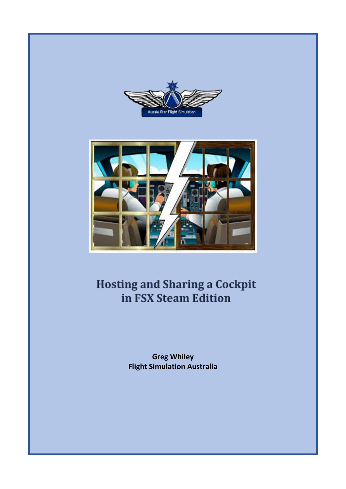



# **Hosting and Sharing a Cockpit** in FSX Steam Edition

**Greg Whiley Flight Simulation Australia**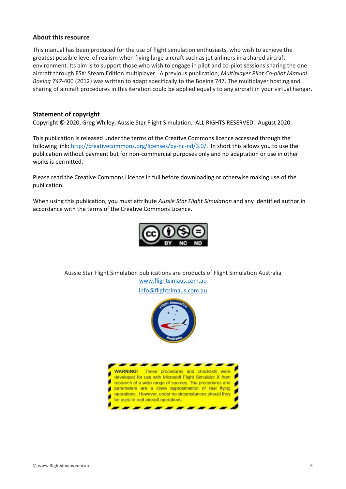#### **About this resource**

This manual has been produced for the use of flight simulation enthusiasts, who wish to achieve the greatest possible level of realism when flying large aircraft such as jet airliners in a shared aircraft environment. Its aim is to support those who wish to engage in pilot and co-pilot sessions sharing the one aircraft through FSX: Steam Edition multiplayer. A previous publication, *Multiplayer Pilot Co-pilot Manual Boeing 747-*400 (2012) was written to adapt specifically to the Boeing 747. The multiplayer hosting and sharing of aircraft procedures in this iteration could be applied equally to any aircraft in your virtual hangar.

#### **Statement of copyright**

Copyright © 2020, Greg Whiley, Aussie Star Flight Simulation. ALL RIGHTS RESERVED. August 2020.

This publication is released under the terms of the Creative Commons licence accessed through the following link: [http://creativecommons.org/licenses/by-nc-nd/3.0/.](http://creativecommons.org/licenses/by-nc-nd/3.0/) In short this allows you to use the publication without payment but for non-commercial purposes only and no adaptation or use in other works is permitted.

Please read the Creative Commons Licence in full before downloading or otherwise making use of the publication.

When using this publication, you must attribute *Aussie Star Flight Simulation* and any identified author in accordance with the terms of the Creative Commons Licence.



Aussie Star Flight Simulation publications are products of Flight Simulation Australia [www.flightsimaus.com.au](http://www.flightsimaus.com.au/)

<info@flightsimaus.com.au>

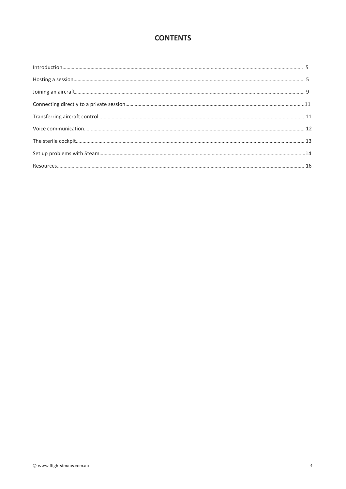# **CONTENTS**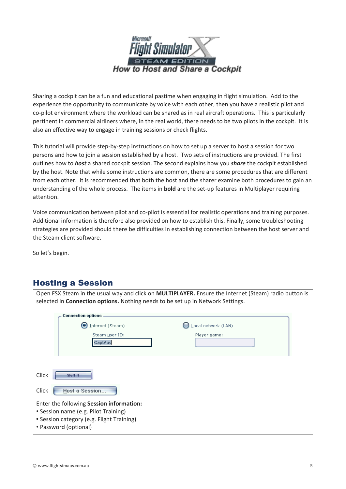

Sharing a cockpit can be a fun and educational pastime when engaging in flight simulation. Add to the experience the opportunity to communicate by voice with each other, then you have a realistic pilot and co-pilot environment where the workload can be shared as in real aircraft operations. This is particularly pertinent in commercial airliners where, in the real world, there needs to be two pilots in the cockpit. It is also an effective way to engage in training sessions or check flights.

This tutorial will provide step-by-step instructions on how to set up a server to host a session for two persons and how to join a session established by a host. Two sets of instructions are provided. The first outlines how to *host* a shared cockpit session. The second explains how you *share* the cockpit established by the host. Note that while some instructions are common, there are some procedures that are different from each other. It is recommended that both the host and the sharer examine both procedures to gain an understanding of the whole process. The items in **bold** are the set-up features in Multiplayer requiring attention.

Voice communication between pilot and co-pilot is essential for realistic operations and training purposes. Additional information is therefore also provided on how to establish this. Finally, some troubleshooting strategies are provided should there be difficulties in establishing connection between the host server and the Steam client software.

Open FSX Steam in the usual way and click on **MULTIPLAYER.** Ensure the Internet (Steam) radio button is

So let's begin.

# Hosting a Session

| selected in Connection options. Nothing needs to be set up in Network Settings.                                                                        |                     |
|--------------------------------------------------------------------------------------------------------------------------------------------------------|---------------------|
| <b>Connection options</b>                                                                                                                              |                     |
| O<br>Internet (Steam)                                                                                                                                  | Local network (LAN) |
| Steam user ID:<br>CaptAus                                                                                                                              | Player name:        |
| Click<br>SIGN IN                                                                                                                                       |                     |
| Click<br>Host a Session                                                                                                                                |                     |
| Enter the following Session information:<br>• Session name (e.g. Pilot Training)<br>• Session category (e.g. Flight Training)<br>• Password (optional) |                     |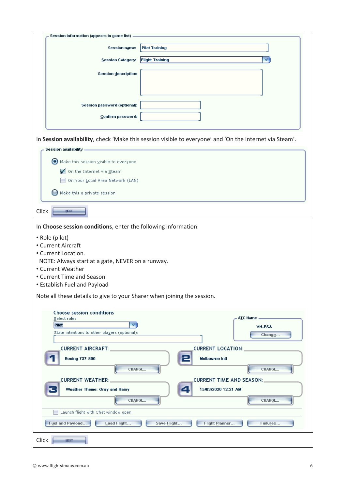| Session information (appears in game list)                                                                          |
|---------------------------------------------------------------------------------------------------------------------|
| <b>Pilot Training</b><br><b>Session name:</b>                                                                       |
| <b>Flight Training</b><br>Session Category:                                                                         |
| Session description:                                                                                                |
|                                                                                                                     |
|                                                                                                                     |
| Session password (optional):                                                                                        |
| Confirm password:                                                                                                   |
|                                                                                                                     |
| In Session availability, check 'Make this session visible to everyone' and 'On the Internet via Steam'.             |
| Session availability -                                                                                              |
| Make this session visible to everyone<br>On the Internet via Steam                                                  |
| On your Local Area Network (LAN)                                                                                    |
| Make this a private session                                                                                         |
|                                                                                                                     |
| Click<br><b>JEXT</b>                                                                                                |
| In Choose session conditions, enter the following information:                                                      |
| • Role (pilot)                                                                                                      |
| • Current Aircraft                                                                                                  |
| • Current Location.<br>NOTE: Always start at a gate, NEVER on a runway.                                             |
| • Current Weather                                                                                                   |
| • Current Time and Season                                                                                           |
| • Establish Fuel and Payload                                                                                        |
| Note all these details to give to your Sharer when joining the session.                                             |
| <b>Choose session conditions</b>                                                                                    |
| A <u>T</u> C Name —<br>Select role:<br>Pilot<br><b>VH-FSA</b>                                                       |
| State intentions to other players (optional):<br>Change                                                             |
| <b>CURRENT LOCATION:</b><br>CURRENT AIRCRAFT:                                                                       |
| <b>Boeing 737-800</b><br><b>Melbourne Inti</b>                                                                      |
| CHANGE<br>CHANGE                                                                                                    |
| <b>CURRENT TIME AND SEASON:</b><br><b>CURRENT WEATHER:_</b>                                                         |
| 15/03/2020 12:21 AM<br>Weather Theme: Gray and Rainy                                                                |
| CHANGE<br>CHANGE                                                                                                    |
| Launch flight with Chat window open<br>Fuel and Payload<br>Load Flight<br>Flight Planner<br>Save Elight<br>Failures |
|                                                                                                                     |
| Click<br><b>IEXT</b>                                                                                                |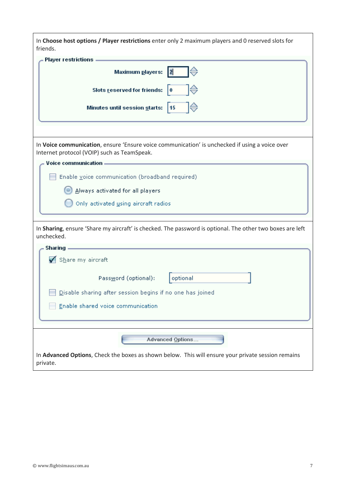| In Choose host options / Player restrictions enter only 2 maximum players and 0 reserved slots for<br>friends.                                |
|-----------------------------------------------------------------------------------------------------------------------------------------------|
| Player restrictions.                                                                                                                          |
| Maximum <u>p</u> layers:<br>$\overline{2}$                                                                                                    |
| Slots reserved for friends:<br>$\mathbf{0}$                                                                                                   |
| Minutes until session starts: 15                                                                                                              |
|                                                                                                                                               |
| In Voice communication, ensure 'Ensure voice communication' is unchecked if using a voice over<br>Internet protocol (VOIP) such as TeamSpeak. |
| Voice communication -                                                                                                                         |
| Enable voice communication (broadband required)                                                                                               |
| Always activated for all players                                                                                                              |
| Only activated using aircraft radios                                                                                                          |
| In Sharing, ensure 'Share my aircraft' is checked. The password is optional. The other two boxes are left<br>unchecked.                       |
| <b>Sharing</b>                                                                                                                                |
| Share my aircraft                                                                                                                             |
| Password (optional):<br>optional                                                                                                              |
| <b>Disable sharing after session begins if no one has joined</b>                                                                              |
| Enable shared voice communication                                                                                                             |
|                                                                                                                                               |
|                                                                                                                                               |
| <b>Advanced Options</b>                                                                                                                       |
| In Advanced Options, Check the boxes as shown below. This will ensure your private session remains<br>private.                                |

 $\mathbf{I}$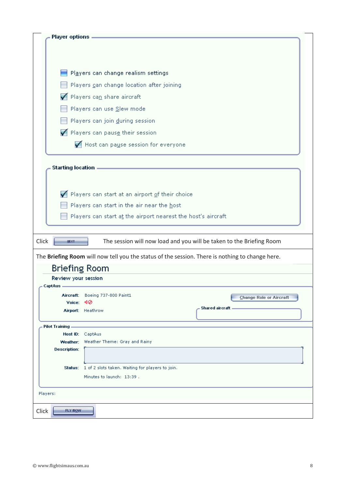| Player options -     |                                                              |                                                                                                 |
|----------------------|--------------------------------------------------------------|-------------------------------------------------------------------------------------------------|
|                      |                                                              |                                                                                                 |
|                      |                                                              |                                                                                                 |
|                      | Players can change realism settings                          |                                                                                                 |
|                      | Players can change location after joining                    |                                                                                                 |
|                      | Players can share aircraft                                   |                                                                                                 |
|                      | Players can use Slew mode                                    |                                                                                                 |
|                      | Players can join during session                              |                                                                                                 |
|                      | Players can pause their session                              |                                                                                                 |
|                      | Host can pause session for everyone                          |                                                                                                 |
|                      |                                                              |                                                                                                 |
| Starting location -  |                                                              |                                                                                                 |
|                      |                                                              |                                                                                                 |
|                      | Players can start at an airport of their choice              |                                                                                                 |
|                      | Players can start in the air near the host                   |                                                                                                 |
|                      | Players can start at the airport nearest the host's aircraft |                                                                                                 |
|                      |                                                              |                                                                                                 |
| Click<br><b>HEXT</b> |                                                              | The session will now load and you will be taken to the Briefing Room                            |
|                      |                                                              | The Briefing Room will now tell you the status of the session. There is nothing to change here. |
| Briefing Room        |                                                              |                                                                                                 |
| Review your session  |                                                              |                                                                                                 |
| CaptAus              |                                                              |                                                                                                 |
| Voice:               | Aircraft: Boeing 737-800 Paint1<br>ৰ⊘                        | <b>Change Role or Aircraft</b>                                                                  |
|                      | Airport: Heathrow                                            | Shared aircraft -                                                                               |
| Pilot Training —     |                                                              |                                                                                                 |
| Weather:             | Host ID: CaptAus<br>Weather Theme: Gray and Rainy            |                                                                                                 |
| <b>Description:</b>  |                                                              |                                                                                                 |
|                      | Status: 1 of 2 slots taken. Waiting for players to join.     |                                                                                                 |
|                      | Minutes to launch: 13:39.                                    |                                                                                                 |
| Players:             |                                                              |                                                                                                 |
|                      |                                                              |                                                                                                 |
| FLY NOW<br>Click     |                                                              |                                                                                                 |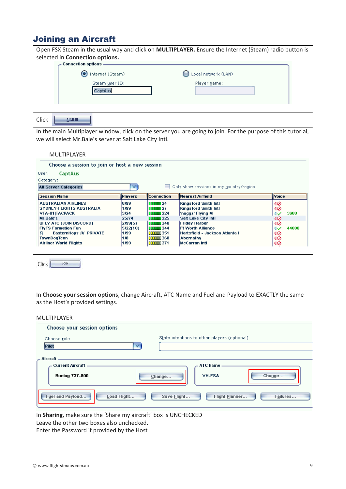# Joining an Aircraft

|                                                         |                |                        | Open FSX Steam in the usual way and click on MULTIPLAYER. Ensure the Internet (Steam) radio button is        |              |
|---------------------------------------------------------|----------------|------------------------|--------------------------------------------------------------------------------------------------------------|--------------|
| selected in Connection options.                         |                |                        |                                                                                                              |              |
| <b>Connection options.</b>                              |                |                        |                                                                                                              |              |
| Internet (Steam)<br>n                                   |                |                        | Local network (LAN)                                                                                          |              |
| Steam user ID:                                          |                |                        | Player name:                                                                                                 |              |
| CaptAus                                                 |                |                        |                                                                                                              |              |
|                                                         |                |                        |                                                                                                              |              |
|                                                         |                |                        |                                                                                                              |              |
|                                                         |                |                        |                                                                                                              |              |
| Click<br><b>SIGN IN</b>                                 |                |                        |                                                                                                              |              |
|                                                         |                |                        | In the main Multiplayer window, click on the server you are going to join. For the purpose of this tutorial, |              |
| we will select Mr.Bale's server at Salt Lake City Intl. |                |                        |                                                                                                              |              |
|                                                         |                |                        |                                                                                                              |              |
| <b>MULTIPLAYER</b>                                      |                |                        |                                                                                                              |              |
|                                                         |                |                        |                                                                                                              |              |
|                                                         |                |                        |                                                                                                              |              |
| Choose a session to join or host a new session          |                |                        |                                                                                                              |              |
| User:<br>CaptAus                                        |                |                        |                                                                                                              |              |
| Category:                                               |                |                        |                                                                                                              |              |
| <b>All Server Categories</b>                            | V              |                        | Only show sessions in my country/region                                                                      |              |
| <b>Session Name</b>                                     | <b>Players</b> | <b>Connection</b>      | <b>Nearest Airfield</b>                                                                                      | Voice        |
| <b>AUSTRALIAN AIRLINES</b>                              | 8/99           | 00000 24               | <b>Kingsford Smith Intl</b>                                                                                  | 10           |
| <b>SYDNEY-FLIGHTS AUSTRALIA</b>                         | 1/99           | 00000 27               | <b>Kingsford Smith Intl</b>                                                                                  | 140          |
| <b>VFA-81 TACPACK</b><br>Mr.Bale's                      | 3/24<br>25/74  | 00000 224<br>00000 225 | 'nuggs' Flying M<br><b>Salt Lake City Intl</b>                                                               | 3600<br>∣⊲√  |
| UFLY ATC (JOIN DISCORD)                                 | 2/99(5)        | 000000 240             | <b>Friday Harbor</b>                                                                                         | 10<br>140    |
| <b>FlyFS Formation Fun</b>                              | 5/22(10)       | 00000 244              | <b>Ft Worth Alliance</b>                                                                                     | 44000<br>∣⊲৵ |
| EasternHops /// PRIVATE<br>A                            | 1/99           | 00000 251              | Hartsfield - Jackson Atlanta I                                                                               | 1∢⊘          |
| <b>TownDogTenn</b><br><b>Airliner World Flights</b>     | 1/8<br>1/99    | $\Box$<br>00000 271    | Abernathy<br><b>McCarran Intl</b>                                                                            | 10           |
|                                                         |                |                        |                                                                                                              | ⊲⊘           |
|                                                         |                |                        |                                                                                                              |              |
| Click<br>JOIN                                           |                |                        |                                                                                                              |              |

| In Choose your session options, change Aircraft, ATC Name and Fuel and Payload to EXACTLY the same<br>as the Host's provided settings.                    |
|-----------------------------------------------------------------------------------------------------------------------------------------------------------|
| <b>MULTIPLAYER</b>                                                                                                                                        |
| Choose your session options                                                                                                                               |
| State intentions to other players (optional)                                                                                                              |
| Choose role                                                                                                                                               |
| v<br>Pilot                                                                                                                                                |
|                                                                                                                                                           |
| Aircraft                                                                                                                                                  |
|                                                                                                                                                           |
| <b>Current Aircraft</b><br><b>ATC Name</b>                                                                                                                |
| <b>VH-FSA</b><br><b>Boeing 737-800</b><br>Change<br>Change                                                                                                |
| Fuel and Payload<br>Load Flight<br>Save Flight<br><b>Flight Planner</b><br>Failures                                                                       |
| In Sharing, make sure the 'Share my aircraft' box is UNCHECKED<br>Leave the other two boxes also unchecked.<br>Enter the Password if provided by the Host |

 $\overline{\phantom{a}}$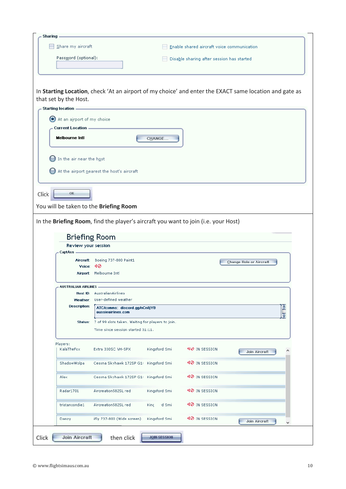| Password (optional):                         |                                                                                    |                  |                                           |                                                                                                        |
|----------------------------------------------|------------------------------------------------------------------------------------|------------------|-------------------------------------------|--------------------------------------------------------------------------------------------------------|
|                                              |                                                                                    |                  | Disable sharing after session has started |                                                                                                        |
|                                              |                                                                                    |                  |                                           |                                                                                                        |
|                                              |                                                                                    |                  |                                           | In Starting Location, check 'At an airport of my choice' and enter the EXACT same location and gate as |
| that set by the Host.<br>Starting location - |                                                                                    |                  |                                           |                                                                                                        |
| At an airport of my choice                   |                                                                                    |                  |                                           |                                                                                                        |
| <b>Current Location -</b>                    |                                                                                    |                  |                                           |                                                                                                        |
| <b>Melbourne Inti</b>                        |                                                                                    | <b>CHANGE</b>    |                                           |                                                                                                        |
|                                              |                                                                                    |                  |                                           |                                                                                                        |
| $\bigcirc$ In the air near the host          |                                                                                    |                  |                                           |                                                                                                        |
|                                              | At the airport nearest the host's aircraft                                         |                  |                                           |                                                                                                        |
|                                              |                                                                                    |                  |                                           |                                                                                                        |
| OK.                                          |                                                                                    |                  |                                           |                                                                                                        |
|                                              | You will be taken to the Briefing Room                                             |                  |                                           |                                                                                                        |
|                                              |                                                                                    |                  |                                           |                                                                                                        |
|                                              |                                                                                    |                  |                                           |                                                                                                        |
|                                              | In the Briefing Room, find the player's aircraft you want to join (i.e. your Host) |                  |                                           |                                                                                                        |
|                                              |                                                                                    |                  |                                           |                                                                                                        |
| Review your session                          | <b>Briefing Room</b>                                                               |                  |                                           |                                                                                                        |
| CaptAus.                                     |                                                                                    |                  |                                           |                                                                                                        |
|                                              | Aircraft: Boeing 737-800 Paint1                                                    |                  |                                           | <b>Change Role or Aircraft</b>                                                                         |
|                                              | Voice: $\triangleleft\oslash$                                                      |                  |                                           |                                                                                                        |
|                                              | Airport: Melbourne Intl                                                            |                  |                                           |                                                                                                        |
|                                              |                                                                                    |                  |                                           |                                                                                                        |
| <b>AUSTRALIAN AIRLINES</b>                   | Host ID: AustralianAirlines                                                        |                  |                                           |                                                                                                        |
| Weather:                                     | User-defined weather                                                               |                  |                                           |                                                                                                        |
| <b>Description:</b>                          | ATC/comms: discord.gg/nCn8jYB<br>aussieairlines.com                                |                  |                                           |                                                                                                        |
| Status:                                      | 7 of 99 slots taken. Waiting for players to join.                                  |                  |                                           |                                                                                                        |
|                                              | Time since session started 31:11.                                                  |                  |                                           |                                                                                                        |
| Players:                                     |                                                                                    |                  |                                           |                                                                                                        |
| KalaTheFox                                   | Extra 330SC VH-SPX                                                                 | Kingsford Smi    | ¶V IN SESSION                             | <b>Join Aircraft</b>                                                                                   |
| ShadowWolpa                                  | Cessna Skyhawk 172SP G1L                                                           | Kingsford Smi    | ¶⊘ in session                             |                                                                                                        |
| Alex                                         | Cessna Skyhawk 172SP G1+ Kingsford Smi                                             |                  | ¶⊘ in session                             |                                                                                                        |
| Radar1701                                    | Aircreation582SL red                                                               | Kingsford Smi    | ¶⊘ in session                             |                                                                                                        |
| tristancondie1                               | Aircreation582SL red                                                               | id Smil<br>King. | 40 IN SESSION                             |                                                                                                        |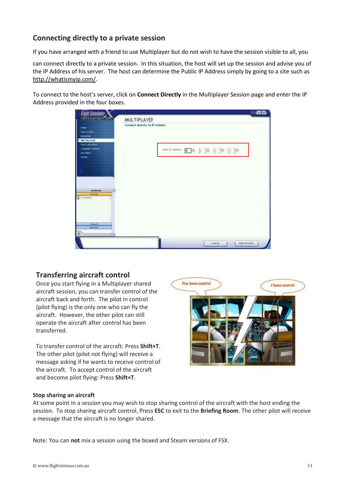# **Connecting directly to a private session**

If you have arranged with a friend to use Multiplayer but do not wish to have the session visible to all, you

can connect directly to a private session. In this situation, the host will set up the session and advise you of the IP Address of his server. The host can determine the Public IP Address simply by going to a site such as [http://whatismyip.com/.](http://whatismyip.com/)

To connect to the host's server, click on **Connect Directly** in the Multiplayer Session page and enter the IP Address provided in the four boxes.

| <b>Flight Simulator</b>                                                                    |                                                           | 88                  |
|--------------------------------------------------------------------------------------------|-----------------------------------------------------------|---------------------|
| <b>TEAM BOITION</b>                                                                        | <b>MULTIPLAYEF</b>                                        |                     |
| -<br><b>FREE FLIGHT</b><br>MISSING                                                         | Connect directly to IP Address                            |                     |
| <b>MILTIPLAYER</b><br><b>PAINT RECORDS</b><br>LIVAGENC CENTER<br><b>BETTINGH</b><br>\$1000 | Enter IP sobboxs: (a) . (a) . (a) . (a) . (a) . (a) . (b) |                     |
|                                                                                            |                                                           |                     |
| <b>Carriacte</b><br><b>Frienda</b>                                                         |                                                           |                     |
| $\Delta$ Eletry 700                                                                        |                                                           |                     |
| <b>Balant</b><br><b>Barrow</b><br>Θ<br>4444                                                |                                                           |                     |
|                                                                                            | <b>CABCH</b>                                              | <b>FRD SESSIONS</b> |

## **Transferring aircraft control**

Once you start flying in a Multiplayer shared aircraft session, you can transfer control of the aircraft back and forth. The pilot in control (pilot flying) is the only one who can fly the aircraft. However, the other pilot can still operate the aircraft after control has been transferred.

To transfer control of the aircraft: Press **Shift+T**. The other pilot (pilot not flying) will receive a message asking if he wants to receive control of the aircraft. To accept control of the aircraft and become pilot flying: Press **Shift+T**.



#### **Stop sharing an aircraft**

At some point in a session you may wish to stop sharing control of the aircraft with the host ending the session. To stop sharing aircraft control, Press **ESC** to exit to the **Briefing Room**. The other pilot will receive a message that the aircraft is no longer shared.

Note: You can **not** mix a session using the boxed and Steam versions of FSX.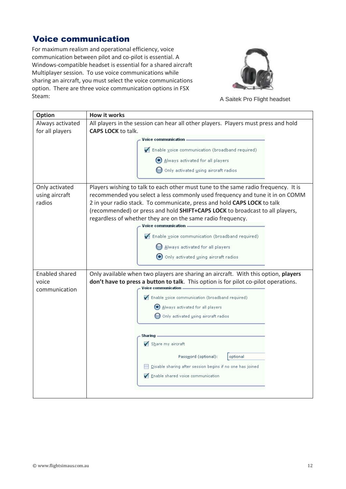# Voice communication

For maximum realism and operational efficiency, voice communication between pilot and co-pilot is essential. A Windows-compatible headset is essential for a shared aircraft Multiplayer session. To use voice communications while sharing an aircraft, you must select the voice communications option. There are three voice communication options in FSX Steam: A Saitek Pro Flight headset



| <b>Option</b>         | How it works                                                                        |
|-----------------------|-------------------------------------------------------------------------------------|
| Always activated      | All players in the session can hear all other players. Players must press and hold  |
| for all players       | <b>CAPS LOCK to talk.</b>                                                           |
|                       | Voice communication.                                                                |
|                       | √ Enable voice communication (broadband required)                                   |
|                       | Always activated for all players                                                    |
|                       | Only activated using aircraft radios                                                |
| Only activated        | Players wishing to talk to each other must tune to the same radio frequency. It is  |
| using aircraft        | recommended you select a less commonly used frequency and tune it in on COMM        |
| radios                | 2 in your radio stack. To communicate, press and hold CAPS LOCK to talk             |
|                       | (recommended) or press and hold SHIFT+CAPS LOCK to broadcast to all players,        |
|                       | regardless of whether they are on the same radio frequency.                         |
|                       | <b>Voice communication</b>                                                          |
|                       | √ Enable voice communication (broadband required)                                   |
|                       | Always activated for all players                                                    |
|                       | Only activated using aircraft radios                                                |
| <b>Enabled shared</b> | Only available when two players are sharing an aircraft. With this option, players  |
| voice                 | don't have to press a button to talk. This option is for pilot co-pilot operations. |
| communication         | <b>Voice communication</b>                                                          |
|                       | $\blacktriangleright$ Enable voice communication (broadband required)               |
|                       | Always activated for all players                                                    |
|                       | Only activated using aircraft radios                                                |
|                       |                                                                                     |
|                       | <b>Sharing</b>                                                                      |
|                       | Share my aircraft                                                                   |
|                       | Password (optional):<br>optional                                                    |
|                       | Disable sharing after session begins if no one has joined                           |
|                       | Enable shared voice communication                                                   |
|                       |                                                                                     |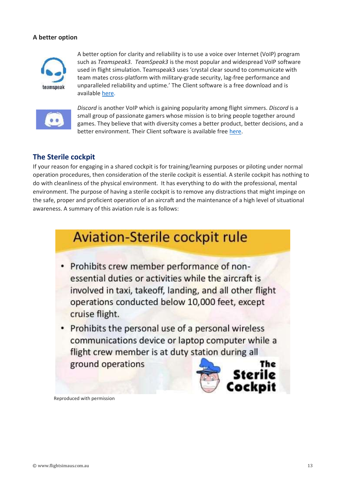#### **A better option**



A better option for clarity and reliability is to use a voice over Internet (VoIP) program such as *Teamspeak3. TeamSpeak3* is the most popular and widespread VoIP software used in flight simulation. Teamspeak3 uses 'crystal clear sound to communicate with team mates cross-platform with military-grade security, lag-free performance and unparalleled reliability and uptime.' The Client software is a free download and is available [here.](https://www.teamspeak.com/en/)



*Discord* is another VoIP which is gaining popularity among flight simmers. *Discord* is a small group of passionate gamers whose mission is to bring people together around games. They believe that with diversity comes a better product, better decisions, and a better environment. Their Client software is available fre[e here.](https://discordapp.com/)

## **The Sterile cockpit**

If your reason for engaging in a shared cockpit is for training/learning purposes or piloting under normal operation procedures, then consideration of the sterile cockpit is essential. A sterile cockpit has nothing to do with cleanliness of the physical environment. It has everything to do with the professional, mental environment. The purpose of having a sterile cockpit is to remove any distractions that might impinge on the safe, proper and proficient operation of an aircraft and the maintenance of a high level of situational awareness. A summary of this aviation rule is as follows:

# **Aviation-Sterile cockpit rule**

- Prohibits crew member performance of nonessential duties or activities while the aircraft is involved in taxi, takeoff, landing, and all other flight operations conducted below 10,000 feet, except cruise flight.
- Prohibits the personal use of a personal wireless communications device or laptop computer while a flight crew member is at duty station during all ground operations The



Reproduced with permission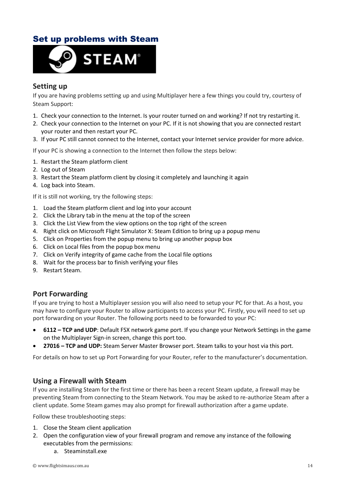# Set up problems with Steam



## **Setting up**

If you are having problems setting up and using Multiplayer here a few things you could try, courtesy of Steam Support:

- 1. Check your connection to the Internet. Is your router turned on and working? If not try restarting it.
- 2. Check your connection to the Internet on your PC. If it is not showing that you are connected restart your router and then restart your PC.
- 3. If your PC still cannot connect to the Internet, contact your Internet service provider for more advice.

If your PC is showing a connection to the Internet then follow the steps below:

- 1. Restart the Steam platform client
- 2. Log out of Steam
- 3. Restart the Steam platform client by closing it completely and launching it again
- 4. Log back into Steam.

If it is still not working, try the following steps:

- 1. Load the Steam platform client and log into your account
- 2. Click the Library tab in the menu at the top of the screen
- 3. Click the List View from the view options on the top right of the screen
- 4. Right click on Microsoft Flight Simulator X: Steam Edition to bring up a popup menu
- 5. Click on Properties from the popup menu to bring up another popup box
- 6. Click on Local files from the popup box menu
- 7. Click on Verify integrity of game cache from the Local file options
- 8. Wait for the process bar to finish verifying your files
- 9. Restart Steam.

### **Port Forwarding**

If you are trying to host a Multiplayer session you will also need to setup your PC for that. As a host, you may have to configure your Router to allow participants to access your PC. Firstly, you will need to set up port forwarding on your Router. The following ports need to be forwarded to your PC:

- **6112 – TCP and UDP**: Default FSX network game port. If you change your Network Settings in the game on the Multiplayer Sign-in screen, change this port too.
- **27016 – TCP and UDP:** Steam Server Master Browser port. Steam talks to your host via this port.

For details on how to set up Port Forwarding for your Router, refer to the manufacturer's documentation.

### **Using a Firewall with Steam**

If you are installing Steam for the first time or there has been a recent Steam update, a firewall may be preventing Steam from connecting to the Steam Network. You may be asked to re-authorize Steam after a client update. Some Steam games may also prompt for firewall authorization after a game update.

Follow these troubleshooting steps:

- 1. Close the Steam client application
- 2. Open the configuration view of your firewall program and remove any instance of the following executables from the permissions:
	- a. Steaminstall.exe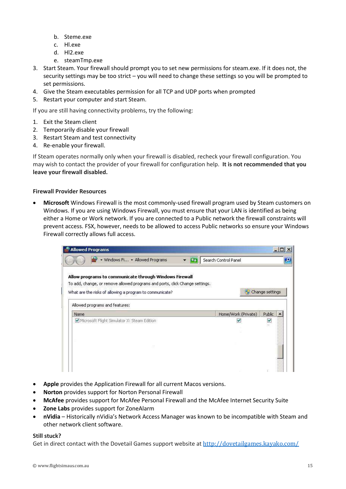- b. Steme.exe
- c. Hl.exe
- d. Hl2.exe
- e. steamTmp.exe
- 3. Start Steam. Your firewall should prompt you to set new permissions for steam.exe. If it does not, the security settings may be too strict – you will need to change these settings so you will be prompted to set permissions.
- 4. Give the Steam executables permission for all TCP and UDP ports when prompted
- 5. Restart your computer and start Steam.

If you are still having connectivity problems, try the following:

- 1. Exit the Steam client
- 2. Temporarily disable your firewall
- 3. Restart Steam and test connectivity
- 4. Re-enable your firewall.

If Steam operates normally only when your firewall is disabled, recheck your firewall configuration. You may wish to contact the provider of your firewall for configuration help. **It is not recommended that you leave your firewall disabled.**

#### **Firewall Provider Resources**

• **Microsoft** Windows Firewall is the most commonly-used firewall program used by Steam customers on Windows. If you are using Windows Firewall, you must ensure that your LAN is identified as being either a Home or Work network. If you are connected to a Public network the firewall constraints will prevent access. FSX, however, needs to be allowed to access Public networks so ensure your Windows Firewall correctly allows full access.

| Allow programs to communicate through Windows Firewall<br>w<br>Home/Work (Private)<br><b>Name</b><br>Microsoft Flight Simulator X: Steam Edition |                 |  |  |
|--------------------------------------------------------------------------------------------------------------------------------------------------|-----------------|--|--|
| To add, change, or remove allowed programs and ports, click Change settings.<br>What are the risks of allowing a program to communicate?         |                 |  |  |
| Allowed programs and features:                                                                                                                   | Change settings |  |  |
|                                                                                                                                                  |                 |  |  |
|                                                                                                                                                  | Public:         |  |  |
|                                                                                                                                                  | M               |  |  |
|                                                                                                                                                  |                 |  |  |
|                                                                                                                                                  |                 |  |  |
|                                                                                                                                                  |                 |  |  |
|                                                                                                                                                  |                 |  |  |

- **Apple** provides the Application Firewall for all current Macos versions.
- **Norton** provides support for Norton Personal Firewall
- **McAfee** provides support for McAfee Personal Firewall and the McAfee Internet Security Suite
- **Zone Labs** provides support for ZoneAlarm
- **nVidia** Historically nVidia's Network Access Manager was known to be incompatible with Steam and other network client software.

#### **Still stuck?**

Get in direct contact with the Dovetail Games support website at <http://dovetailgames.kayako.com/>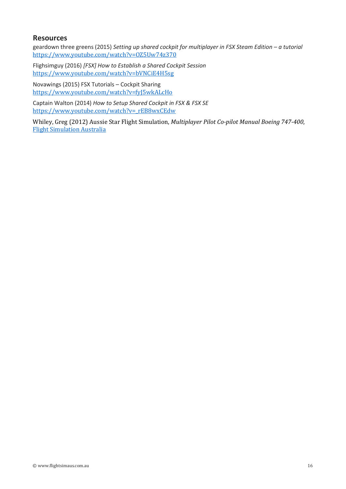## **Resources**

geardown three greens (2015) *Setting up shared cockpit for multiplayer in FSX Steam Edition – a tutorial* <https://www.youtube.com/watch?v=OZ5Uw74z370>

Flighsimguy (2016) *[FSX] How to Establish a Shared Cockpit Session* <https://www.youtube.com/watch?v=bVNCiE4H5sg>

Novawings (2015) FSX Tutorials – Cockpit Sharing <https://www.youtube.com/watch?v=fyJ5wkALcHo>

Captain Walton (2014) *How to Setup Shared Cockpit in FSX & FSX SE* [https://www.youtube.com/watch?v=\\_rEB8wxCEdw](https://www.youtube.com/watch?v=_rEB8wxCEdw)

Whiley, Greg (2012) Aussie Star Flight Simulation, *Multiplayer Pilot Co-pilot Manual Boeing 747-400*, [Flight Simulation Australia](http://www.flightsimaus.com.au/)